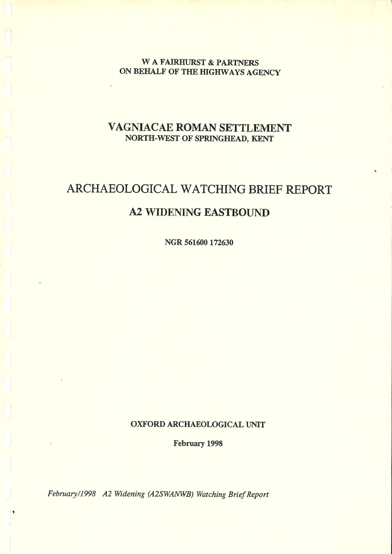**WA FAIRHURST & PARTNERS** ON BEHALF OF THE HIGHWAYS AGENCY

## VAGNIACAE ROMAN SETTLEMENT NORTH-WEST OF SPRINGHEAD, KENT

# ARCHAEOLOGICAL WATCHING BRIEF REPORT

## **A2 WIDENING EASTBOUND**

NGR 561600 172630

#### **OXFORD ARCHAEOLOGICAL UNIT**

**February 1998** 

February/1998 A2 Widening (A2SWANWB) Watching Brief Report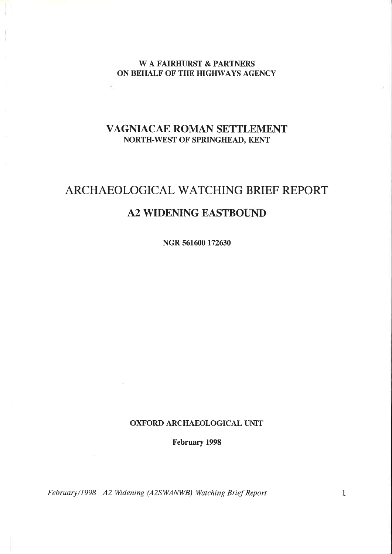#### W A FAIRHURST & PARTNERS ON BEHALF OF THE HIGHWAYS AGENCY

### VAGNIACAE ROMAN SETTLEMBNTNORTH-WEST OF SPRINGHEAD, KENT

# ARCHAEOLOGICAL WATCHING BRIEF REPORTA2 WIDENING EASTBOUND

NGR 56L600 172630

#### OXFORD ARCHAEOLOGICAL UNIT

February 1998

February/1998 A2 Widening (A2SWANWB) Watching Brief Report  $\iota$  and  $\iota$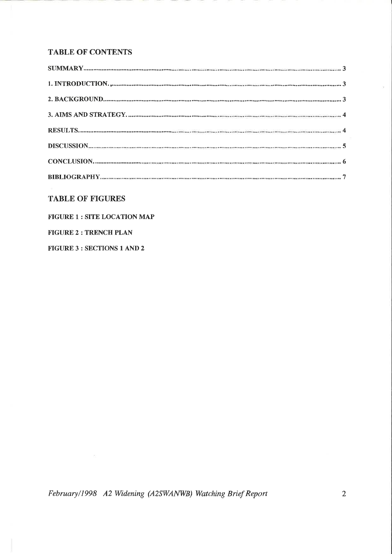#### **TABLE OF CONTENTS**

#### **TABLE OF FIGURES**

#### **FIGURE 1 : SITE LOCATION MAP**

**FIGURE 2 : TRENCH PLAN** 

**FIGURE 3 : SECTIONS 1 AND 2** 

 $\sim 10^{-11}$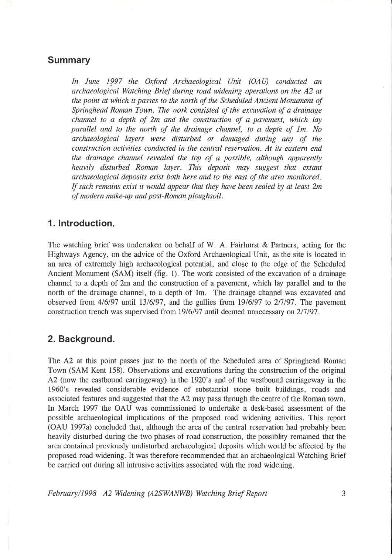#### Summary

In June 1997 the Oxford Archaeological Unit (OAU) conducted an archaeological Watching Brief during road widening operations on the A2 atthe point at which it passes to the north of the Scheduled Ancient Monument of Springhead Roman Town. The work consisted of the excavation of a drainage channel to a depth of 2m and the construction of a pavement, which layparallel and to the north of the drainage channel, to a depth of 1m. No archaeological layers were disturbed or damnged during any of the construction activities conducted in the central reservation. At its eastern end the drainage channel revealed the top of a possible, although apparentlyheavily disturbed Roman layer. This deposit may suggest that extant archaeological deposits exist both here and to the east of the area monitored.If such remains exist it would appear that they have been sealed by at least  $2m$ of modern mnke-up and post-Roman ploughsoil.

#### 1. Introduction.

The watching brief was undertaken on behalf of W. A. Fairhurst  $\&$  Partners, acting for the Highways Agency, on the advice of the Oxford Archaeological Unit, as the site is located inan area of extremely high archaeological potential, and close to the edge of the Scheduled Ancient Monument (SAM) itself (fig. 1). The work consisted of the excavation of a drainage channel to a depth of 2m and the construction of a pavement, which lay parallel and to the north of the drainage channel, to a depth of lm. The drainage channel was excavated andobserved from 4/6/97 until 13/6/97, and the gullies from 19/6/97 to 2/7/97. The pavement construction trench was supervised from 19/6/97 until deemed unnecessary on 2/7/97.

#### 2. Background.

The A2 at this point passes just to the north of the Scheduled area of Springhead Roman Town (SAM Kent 158). Observations and excavations during the construction of the originalA2 (now the eastbound carriageway) in the 1920's and of the westbound carriageway in the 1960's revealed considerable evidence of substantial stone built buildings, roads andassociated features and suggested that the A2 may pass through the centre of the Roman town. In March 1997 the OAU was commissioned to undertake a desk-based assessment of the possible archaeological implications of the proposed road widening activities. This report(OAU I997a) concluded that, although the area of the central reservation had probably been heavily disturbed during the two phases of road construction, the possiblity remained that the area contained previously undisturbed archaeological deposits which would be affected by the proposed road widening. It was therefore recommended that an archaeological Watching Briefbe carried out during all intrusive activities associated with the road widening.

February/1998 A2 Widening (A2SWANWB) Watching Brief Report  $\frac{3}{3}$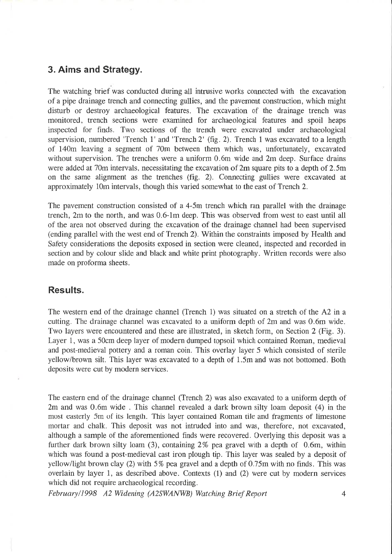#### 3. Aims and Strategy.

The watching brief was conducted during all intrusive works connected with the excavation of a pipe drainage trench and connecting gullies, and the pavement construction, which might disturb or destroy archaeological features. The excavation of the drainage trench was monitored, trench sections were examined for archaeological features and spoil heapsinspected for finds. Two sections of the trench were excavated under archaeological supervision, numbered 'Trench 1' and 'Trench 2' (fig. 2). Trench 1 was excavated to a length of 140m leaving a segment of 70m between them which was, unfortunately, excavated without supervision. The trenches were a uniform 0.6m wide and 2m deep. Surface drains were added at 70m intervals, necessitating the excavation of 2m square pits to a depth of 2.5m on the same alignment as the trenches (fig. 2). Connecting gullies were excavated at approximately 10m intervals, though this varied somewhat to the east of Trench 2.

The pavement construction consisted of a 4-5m trench which ran parallel with the drainagetrench, 2m to the north, and was 0.6-1m deep. This was observed from west to east until all of the area not observed during the excavation of the drainage channel had been supervised (ending parallel with the west end of Trench 2). Within the constraints imposed by Health and Safety considerations the deposits exposed in section were cleaned, inspected and recorded in section and by colour slide and black and white print photography. Written records were alsomade on proforma sheets.

#### Results.

The western end of the drainage channel (Trench 1) was situated on a stretch of the A2 in a cutting. The drainage channel was excavated to a uniform depth of 2m and was 0.6m wide.Two layers were encountered and these are illustrated, in sketch form, on Section 2 (Fig. 3). Layer 1, was a 50cm deep layer of modern dumped topsoil which contained Roman, medieval and post-medieval pottery and a roman coin. This overlay layer 5 which consisted of sterile yellow/brown silt, This layer was excavated to a depth of 1.5m and was not bottomed. Bothdeposits were cut by modern services.

The eastern end of the drainage channel (Trench 2) was also excavated to a uniform depth of 2m and was 0.6m wide . This channel revealed a dark brown silty loam deposit (4) in the most easterly 5m of its length. This layer contained Roman tile and fragments of limestone mortar and chalk. This deposit was not intruded into and was, therefore, not excavated,although a sample of the aforementioned finds were recovered. Overlying this deposit was a further dark brown silty loam (3), containing 2% pea gravel with a depth of 0.6m, within which was found a post-medieval cast iron plough tip. This layer was sealed by a deposit ofyellow/light brown clay (2) with 5% pea gravel and a depth of 0.75m with no finds. This was overlain by layer 1, as described above. Contexts (1) and (2) were cut by modern serviceswhich did not require archaeological recording.

February/l998 A2 Widening (A2SWANWB) Watching Brief Report 4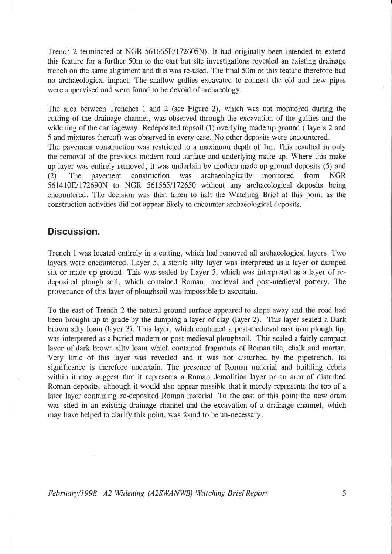Trench 2 terminated at NGR 561665E/172605N). It had originally been intended to extend this feature for a further 50m to the east but site investigations revealed an existing drainagetrench on the same alignment and this was re-used. The final 50m of this feature therefore had no archaeological impact. The shallow gullies excavated to connect the old and new pipeswere supervised and were found to be devoid of archaeology.

The area between Trenches 1 and 2 (see Figure 2), which was not monitored during the cutting of the drainage channel, was observed through the excavation of the gullies and the widening of the carriageway. Redeposited topsoil (1) overlying made up ground ( layers 2 and<sup>5</sup>and mixtures thereof) was observed in every case. No other deposits were encountered. The pavement construction was restricted to a maximum depth of lm. This resulted in only the removal of the previous modern road surface and underlying make up. Where this make up layer was entirely removed, it was underlain by modern made up ground deposits (5) and (2). The pavement construction was archaeologically monitored from NGR561410E/172690N to NGR 561565/172650 without any archaeological deposits being encountered. The decision was then taken to halt the Watching Brief at this point as theconstruction activities did not appear likely to encounter archaeological deposits.

#### Discussion.

Trench 1 was located entirely in a cutting, which had removed all archaeological layers, Twolayers were encountered. Layer 5, a sterile silty layer was interpreted as a layer of dumped silt or made up ground. This was sealed by Layer 5, which was interpreted as a layer of redeposited plough soil, which contained Roman, medieval and post-medieval pottery. Theprovenance of this layer of ploughsoil was impossible to ascertain.

To the east of Trench 2 the natural ground surface appeared to slope away and the road had been brought up to grade by the dumping a layer of clay (layer 2). This layer sealed a Dark brown silty loam (layer 3). This layer, which contained a post-medieval cast iron plough tip, was interpreted as a buried modern or post-medieval ploughsoil. This sealed a fairly compactlayer of dark brown silty loam which contained fragments of Roman tile, chalk and mortar. Very little of this layer was revealed and it was not disturbed by the pipetrench. Its significance is therefore uncertain. The presence of Roman material and building debriswithin it may suggest that it represents a Roman demolition layer or an area of disturbed Roman deposits, although it would also appear possible that it merely represents the top of a later layer containing re-deposited Roman material. To the east of this point the new drain was sited in an existing drainage channel and the excavation of a drainage channel, whichmay have helped to clarify this point, was found to be un-necessary.

February/1998 A2 Widening (A2SWANWB) Watching Brief Report  $\tau$  5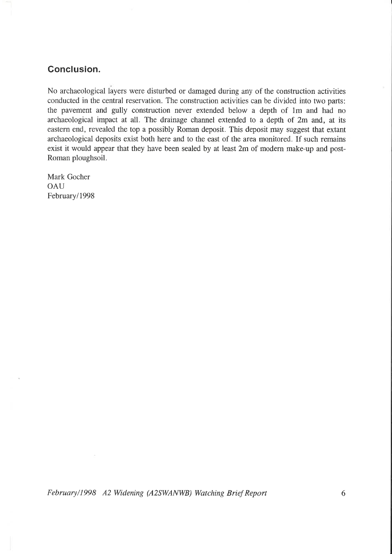### Gonclusion.

No archaeological layers were disturbed or damaged during any of the construction activities conducted in the central reseruation. The construction activities can be divided into two parts:the pavement and gully construction never extended below a depth of 1m and had no archaeological impact at all. The drainage channel extended to a depth of 2m and, at its eastern end, revealed the top a possibly Roman deposit. This deposit may suggest that extant archaeological deposits exist both here and to the east of the area monitored. If such remains exist it would appear that they have been sealed by at least 2m of modern make-up and post-Roman ploughsoil.

Mark Gocher**OAU** February/1998

February/1998 A2 Widening (A2SWANWB) Watching Brief Report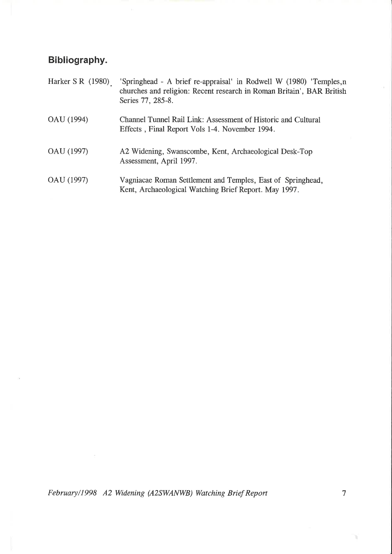# Bibliography.

| Harker S R $(1980)$ | 'Springhead - A brief re-appraisal' in Rodwell W (1980) 'Temples, r<br>churches and religion: Recent research in Roman Britain', BAR British<br>Series 77, 285-8. |
|---------------------|-------------------------------------------------------------------------------------------------------------------------------------------------------------------|
| OAU (1994)          | Channel Tunnel Rail Link: Assessment of Historic and Cultural<br>Effects, Final Report Vols 1-4. November 1994.                                                   |
| OAU (1997)          | A2 Widening, Swanscombe, Kent, Archaeological Desk-Top<br>Assessment, April 1997.                                                                                 |
| OAU (1997)          | Vagniacae Roman Settlement and Temples, East of Springhead,<br>Kent, Archaeological Watching Brief Report. May 1997.                                              |

February/l999 A2 Widening (A2SWANWB) Watching Brief Report

ò.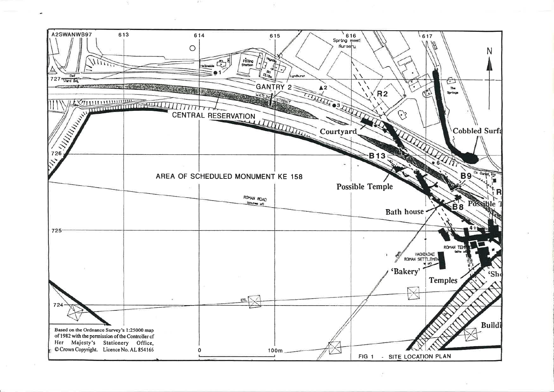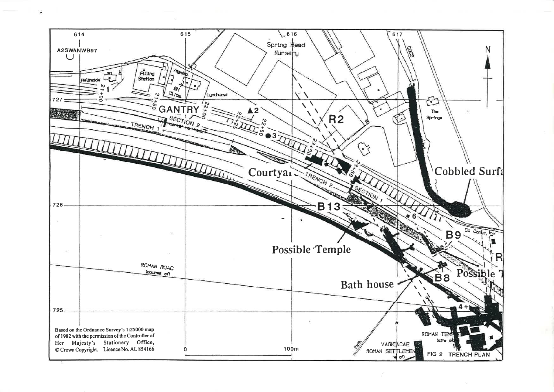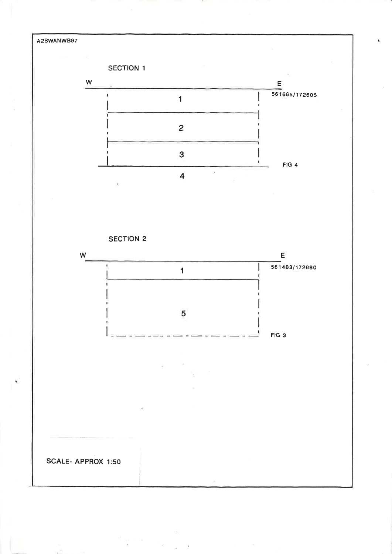